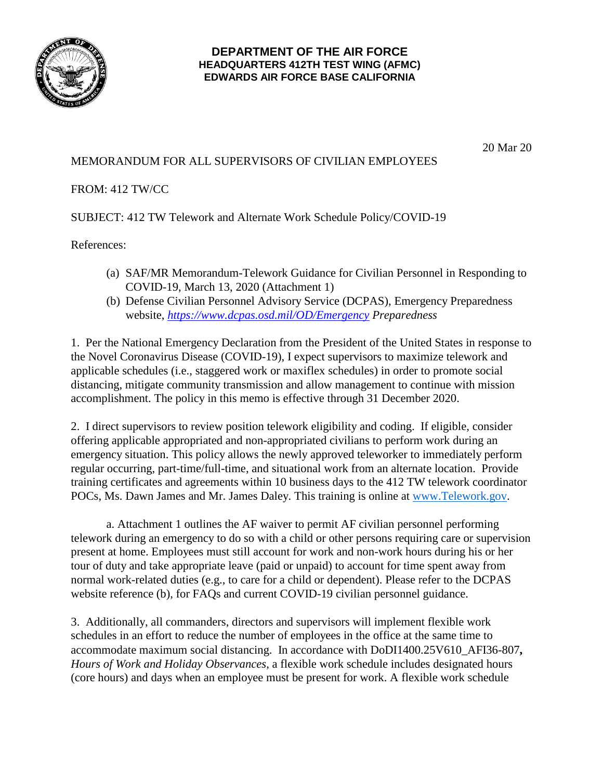

## **DEPARTMENT OF THE AIR FORCE HEADQUARTERS 412TH TEST WING (AFMC) EDWARDS AIR FORCE BASE CALIFORNIA**

20 Mar 20

## MEMORANDUM FOR ALL SUPERVISORS OF CIVILIAN EMPLOYEES

FROM: 412 TW/CC

SUBJECT: 412 TW Telework and Alternate Work Schedule Policy/COVID-19

References:

- (a) SAF/MR Memorandum-Telework Guidance for Civilian Personnel in Responding to COVID-19, March 13, 2020 (Attachment 1)
- (b) Defense Civilian Personnel Advisory Service (DCPAS), Emergency Preparedness website, *<https://www.dcpas.osd.mil/OD/Emergency> Preparedness*

1. Per the National Emergency Declaration from the President of the United States in response to the Novel Coronavirus Disease (COVID-19), I expect supervisors to maximize telework and applicable schedules (i.e., staggered work or maxiflex schedules) in order to promote social distancing, mitigate community transmission and allow management to continue with mission accomplishment. The policy in this memo is effective through 31 December 2020.

2. I direct supervisors to review position telework eligibility and coding. If eligible, consider offering applicable appropriated and non-appropriated civilians to perform work during an emergency situation. This policy allows the newly approved teleworker to immediately perform regular occurring, part-time/full-time, and situational work from an alternate location. Provide training certificates and agreements within 10 business days to the 412 TW telework coordinator POCs, Ms. Dawn James and Mr. James Daley. This training is online at [www.Telework.gov.](http://www.telework.gov/)

a. Attachment 1 outlines the AF waiver to permit AF civilian personnel performing telework during an emergency to do so with a child or other persons requiring care or supervision present at home. Employees must still account for work and non-work hours during his or her tour of duty and take appropriate leave (paid or unpaid) to account for time spent away from normal work-related duties (e.g., to care for a child or dependent). Please refer to the DCPAS website reference (b), for FAQs and current COVID-19 civilian personnel guidance.

3. Additionally, all commanders, directors and supervisors will implement flexible work schedules in an effort to reduce the number of employees in the office at the same time to accommodate maximum social distancing. In accordance with DoDI1400.25V610\_AFI36-807**,** *Hours of Work and Holiday Observances*, a flexible work schedule includes designated hours (core hours) and days when an employee must be present for work. A flexible work schedule